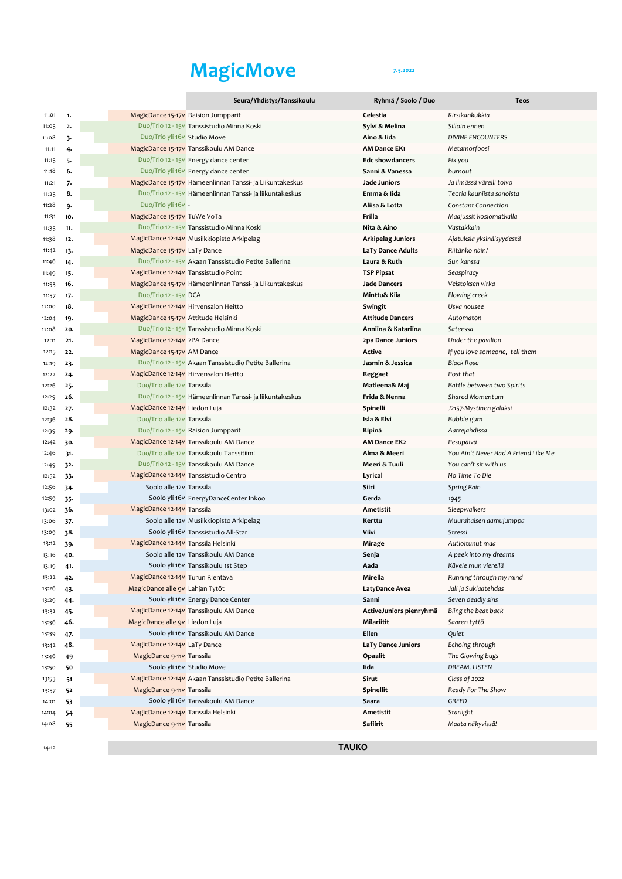## MagicMove 75,2022

|                |            |                                     | Seura/Yhdistys/Tanssikoulu                                | Ryhmä / Soolo / Duo                      | <b>Teos</b>                          |
|----------------|------------|-------------------------------------|-----------------------------------------------------------|------------------------------------------|--------------------------------------|
| 11:01          | 1.         |                                     | MagicDance 15-17v Raision Jumpparit                       | Celestia                                 | Kirsikankukkia                       |
| 11:05          | 2.         |                                     | Duo/Trio 12 - 15v Tanssistudio Minna Koski                | Sylvi & Melina                           | Silloin ennen                        |
| 11:08          | 3.         | Duo/Trio yli 16v Studio Move        |                                                           | Aino & Iida                              | <b>DIVINE ENCOUNTERS</b>             |
| 11:11          | 4.         |                                     | MagicDance 15-17v Tanssikoulu AM Dance                    | <b>AM Dance EK1</b>                      | Metamorfoosi                         |
| 11:15          | 5.         |                                     | Duo/Trio 12 - 15v Energy dance center                     | <b>Edc showdancers</b>                   | Fix you                              |
| 11:18          | 6.         |                                     | Duo/Trio yli 16v Energy dance center                      | Sanni & Vanessa                          | burnout                              |
| 11:21          | 7.         |                                     | MagicDance 15-17v Hämeenlinnan Tanssi- ja Liikuntakeskus  | Jade Juniors                             | Ja ilmässä väreili toivo             |
| 11:25          | 8.         |                                     | Duo/Trio 12 - 15 V Hämeenlinnan Tanssi- ja liikuntakeskus | Emma & Iida                              | Teoria kauniista sanoista            |
| 11:28          | 9.         | Duo/Trio yli 16v -                  |                                                           | Aliisa & Lotta                           | <b>Constant Connection</b>           |
| 11:31          | 10.        | MagicDance 15-17v TuWe VoTa         |                                                           | Frilla                                   | Maajussit kosiomatkalla              |
| 11:35          | 11.        |                                     | Duo/Trio 12 - 15V Tanssistudio Minna Koski                | Nita & Aino                              | Vastakkain                           |
| 11:38          | 12.        |                                     | MagicDance 12-14v Musiikkiopisto Arkipelag                | Arkipelag Juniors                        | Ajatuksia yksinäisyydestä            |
| 11:42          | 13.        | MagicDance 15-17v LaTy Dance        |                                                           | LaTy Dance Adults                        | Riitänkö näin?                       |
| 11:46          | 14.        |                                     | Duo/Trio 12 - 15v Akaan Tanssistudio Petite Ballerina     | Laura & Ruth                             | Sun kanssa                           |
| 11:49          | 15.        |                                     | MagicDance 12-14V Tanssistudio Point                      | TSP Pipsat                               | Seaspiracy                           |
| 11:53          | 16.        |                                     | MagicDance 15-17v Hämeenlinnan Tanssi- ja Liikuntakeskus  | Jade Dancers                             | Veistoksen virka                     |
| 11:57          | 17.        | Duo/Trio 12 - 15V DCA               |                                                           | Minttu& Kiia                             | Flowing creek                        |
| 12:00          | 18.        |                                     | MagicDance 12-14V Hirvensalon Heitto                      | Swingit                                  | Usva nousee                          |
| 12:04          | 19.        | MagicDance 15-17v Attitude Helsinki |                                                           | <b>Attitude Dancers</b>                  | Automaton                            |
| 12:08<br>12:11 | 20.        | MagicDance 12-14V 2PA Dance         | Duo/Trio 12 - 15v Tanssistudio Minna Koski                | Anniina & Katariina<br>2pa Dance Juniors | Sateessa<br>Under the pavilion       |
|                | 21.<br>22. | MagicDance 15-17v AM Dance          |                                                           | Active                                   | If you love someone, tell them       |
| 12:15<br>12:19 | 23.        |                                     | Duo/Trio 12 - 15v Akaan Tanssistudio Petite Ballerina     | Jasmin & Jessica                         | <b>Black Rose</b>                    |
| 12:22          | 24.        |                                     | MagicDance 12-14V Hirvensalon Heitto                      | Reggaet                                  | Post that                            |
| 12:26          | 25.        | Duo/Trio alle 12v Tanssila          |                                                           | Matleena& Maj                            | Battle between two Spirits           |
| 12:29          | 26.        |                                     | Duo/Trio 12 - 15V Hämeenlinnan Tanssi- ja liikuntakeskus  | Frida & Nenna                            | Shared Momentum                      |
| 12:32          | 27.        | MagicDance 12-14V Liedon Luja       |                                                           | Spinelli                                 | J2157-Mystinen galaksi               |
| 12:36          | 28.        | Duo/Trio alle 12v Tanssila          |                                                           | Isla & Elvi                              | Bubble gum                           |
| 12:39          | 29.        |                                     | Duo/Trio 12 - 15v Raision Jumpparit                       | Kipinä                                   | Aarrejahdissa                        |
| 12:42          | 30.        |                                     | MagicDance 12-14v Tanssikoulu AM Dance                    | <b>AM Dance EK2</b>                      | Pesupäivä                            |
| 12:46          | 31.        |                                     | Duo/Trio alle 12v Tanssikoulu Tanssitiimi                 | Alma & Meeri                             | You Ain't Never Had A Friend Like Me |
| 12:49          | 32.        |                                     | Duo/Trio 12 - 15v Tanssikoulu AM Dance                    | Meeri & Tuuli                            | You can't sit with us                |
| 12:52          | 33.        |                                     | MagicDance 12-14v Tanssistudio Centro                     | Lyrical                                  | No Time To Die                       |
| 12:56          | 34.        | Soolo alle 12v Tanssila             |                                                           | Siiri                                    | Spring Rain                          |
| 12:59          | 35.        |                                     | Soolo yli 16v EnergyDanceCenter Inkoo                     | Gerda                                    | 1945                                 |
| 13:02          | 36.        | MagicDance 12-14v Tanssila          |                                                           | Ametistit                                | Sleepwalkers                         |
| 13:06          | $37 -$     |                                     | Soolo alle 12v Musiikkiopisto Arkipelag                   | Kerttu                                   | Muurahaisen aamujumppa               |
| 13:09          | 38.        |                                     | Soolo yli 16v Tanssistudio All-Star                       | Viivi                                    | Stressi                              |
| 13:12          | 39.        | MagicDance 12-14v Tanssila Helsinki |                                                           | Mirage                                   | Autioitunut maa                      |
| 13:16          | 40.        |                                     | Soolo alle 12y Tanssikoulu AM Dance                       | Senja                                    | A peek into my dreams                |
| 13:19          | 41.        |                                     | Soolo yli 16v Tanssikoulu 1st Step                        | Aada                                     | Kävele mun vierellä                  |
| 13:22          | 42.        | MagicDance 12-14v Turun Rientävä    |                                                           | Mirella                                  | Running through my mind              |
| 13:26          | 43.        | MagicDance alle 9v Lahjan Tytöt     |                                                           | LatyDance Avea                           | Jali ja Suklaatehdas                 |
| 13:29          | 44.        |                                     | Soolo yli 16v Energy Dance Center                         | Sanni                                    | Seven deadly sins                    |
| 13:32          | 45.        |                                     | MagicDance 12-14v Tanssikoulu AM Dance                    | ActiveJuniors pienryhmä                  | Bling the beat back                  |
| 13:36          | 46.        | MagicDance alle 9v Liedon Luja      |                                                           | Milariitit                               | Saaren tyttö                         |
| 13:39          | 47.        |                                     | Soolo yli 16v Tanssikoulu AM Dance                        | Ellen                                    | Quiet                                |
| 13:42          | 48.        | MagicDance 12-14V LaTy Dance        |                                                           | LaTy Dance Juniors                       | Echoing through                      |
| 13:46          | 49         | MagicDance 9-11v Tanssila           | Soolo yli 16v Studio Move                                 | Opaalit<br>lida                          | The Glowing bugs<br>DREAM, LISTEN    |
| 13:50          | 50         |                                     |                                                           | Sirut                                    |                                      |
| 13:53          | 51         | MagicDance 9-11v Tanssila           | MagicDance 12-14v Akaan Tanssistudio Petite Ballerina     | Spinellit                                | Class of 2022<br>Ready For The Show  |
| 13:57<br>14:01 | 52<br>53   |                                     | Soolo yli 16v Tanssikoulu AM Dance                        | Saara                                    | GREED                                |
| 14:04          | 54         | MagicDance 12-14v Tanssila Helsinki |                                                           | Ametistit                                | Starlight                            |
| 14:08          | 55         | MagicDance 9-11v Tanssila           |                                                           | Safiirit                                 | Maata näkyvissä!                     |
|                |            |                                     |                                                           |                                          |                                      |
| 14:12          |            |                                     | <b>TAUKO</b>                                              |                                          |                                      |
|                |            |                                     |                                                           |                                          |                                      |